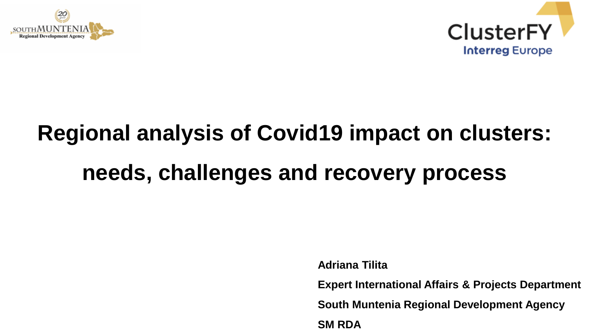



# **Regional analysis of Covid19 impact on clusters: needs, challenges and recovery process**

**Adriana Tilita**

**Expert International Affairs & Projects Department** 

**South Muntenia Regional Development Agency**

**SM RDA**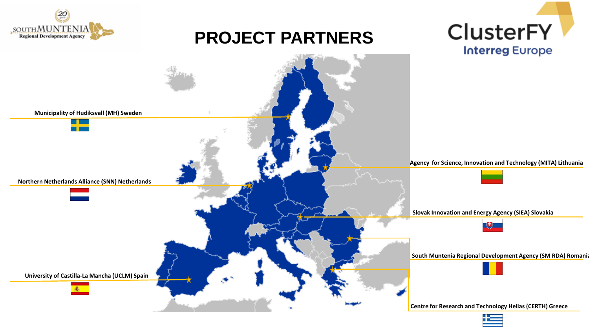

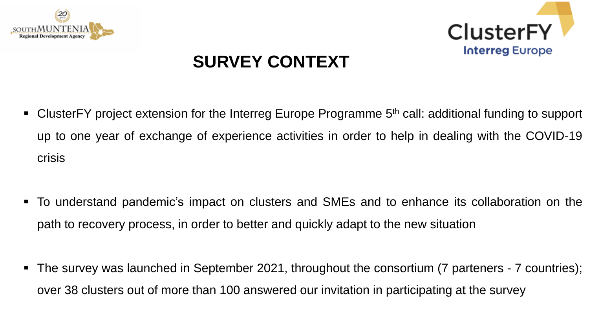



### **SURVEY CONTEXT**

- ClusterFY project extension for the Interreg Europe Programme 5<sup>th</sup> call: additional funding to support up to one year of exchange of experience activities in order to help in dealing with the COVID-19 crisis
- To understand pandemic's impact on clusters and SMEs and to enhance its collaboration on the path to recovery process, in order to better and quickly adapt to the new situation
- The survey was launched in September 2021, throughout the consortium (7 parteners 7 countries); over 38 clusters out of more than 100 answered our invitation in participating at the survey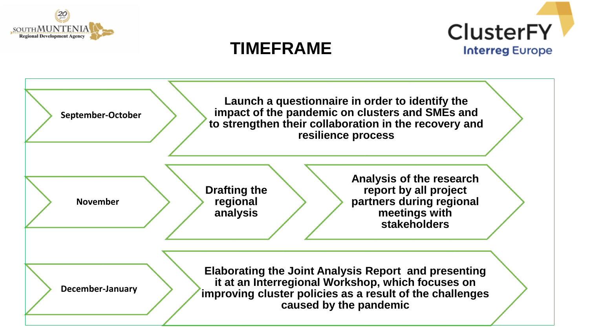



### **TIMEFRAME**

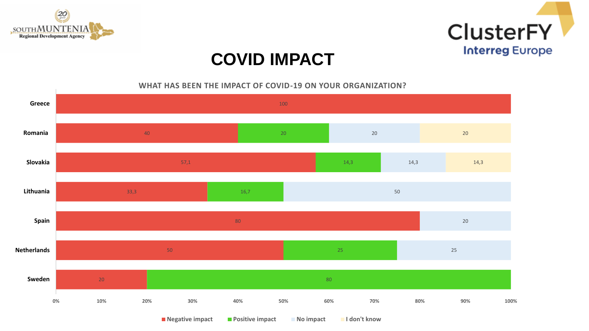



**WHAT HAS BEEN THE IMPACT OF COVID-19 ON YOUR ORGANIZATION?** 

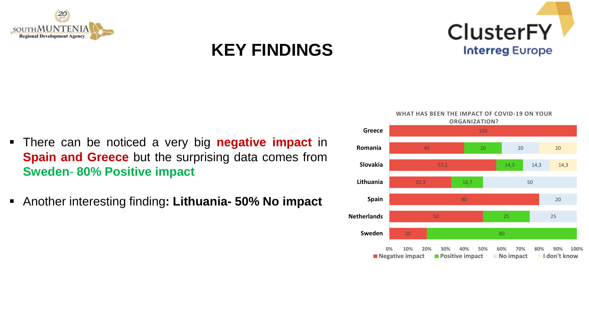

### **KEY FINDINGS**



- There can be noticed a very big **negative impact** in **Spain and Greece** but the surprising data comes from **Sweden**- **80% Positive impact**
- Another interesting finding**: Lithuania- 50% No impact**

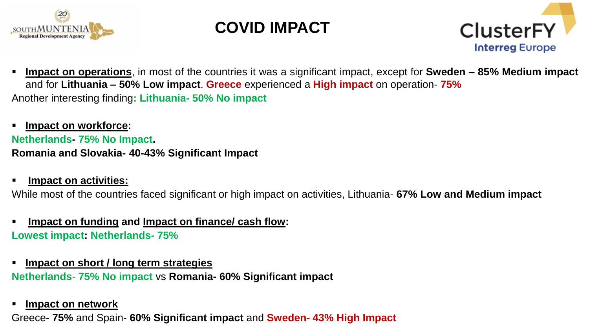



 **Impact on operations**, in most of the countries it was a significant impact, except for **Sweden – 85% Medium impact** and for **Lithuania – 50% Low impact**. **Greece** experienced a **High impact** on operation- **75%** Another interesting finding**: Lithuania- 50% No impact**

 **Impact on workforce: Netherlands- 75% No Impact. Romania and Slovakia- 40-43% Significant Impact**

**Impact on activities:**

While most of the countries faced significant or high impact on activities, Lithuania- **67% Low and Medium impact**

- **Impact on funding and Impact on finance/ cash flow: Lowest impact: Netherlands- 75%**
- **Impact on short / long term strategies Netherlands**- **75% No impact** vs **Romania- 60% Significant impact**
- **Impact on network**

Greece- **75%** and Spain- **60% Significant impact** and **Sweden- 43% High Impact**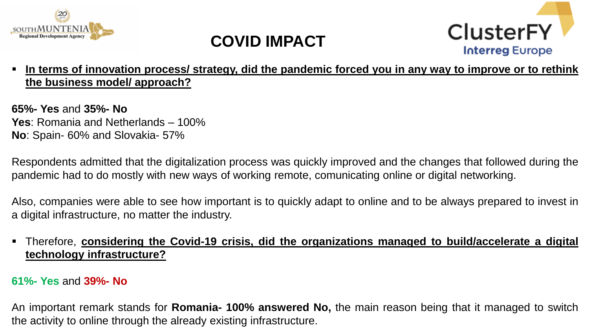



In terms of innovation process/ strategy, did the pandemic forced you in any way to improve or to rethink **the business model/ approach?**

**65%- Yes** and **35%- No Yes**: Romania and Netherlands – 100% **No**: Spain- 60% and Slovakia- 57%

Respondents admitted that the digitalization process was quickly improved and the changes that followed during the pandemic had to do mostly with new ways of working remote, comunicating online or digital networking.

Also, companies were able to see how important is to quickly adapt to online and to be always prepared to invest in a digital infrastructure, no matter the industry.

#### Therefore, **considering the Covid-19 crisis, did the organizations managed to build/accelerate a digital technology infrastructure?**

#### **61%- Yes** and **39%- No**

An important remark stands for **Romania- 100% answered No,** the main reason being that it managed to switch the activity to online through the already existing infrastructure.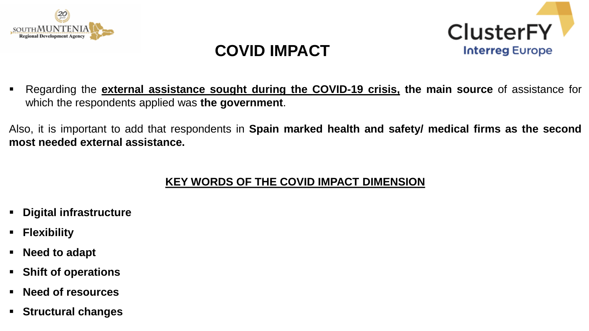



 Regarding the **external assistance sought during the COVID-19 crisis, the main source** of assistance for which the respondents applied was **the government**.

Also, it is important to add that respondents in **Spain marked health and safety/ medical firms as the second most needed external assistance.**

#### **KEY WORDS OF THE COVID IMPACT DIMENSION**

- **Digital infrastructure**
- **Flexibility**
- **Need to adapt**
- **Shift of operations**
- **Need of resources**
- **Structural changes**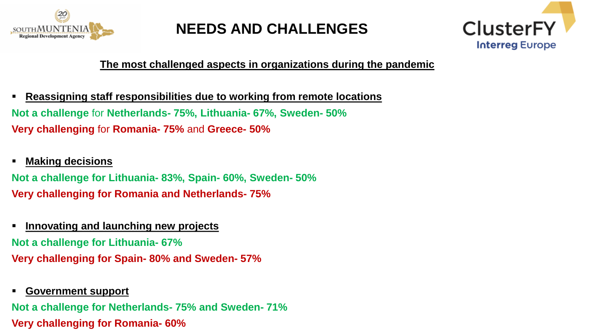



#### **The most challenged aspects in organizations during the pandemic**

- **Reassigning staff responsibilities due to working from remote locations Not a challenge** for **Netherlands- 75%, Lithuania- 67%, Sweden- 50% Very challenging** for **Romania- 75%** and **Greece- 50%**
- **Making decisions**

**Not a challenge for Lithuania- 83%, Spain- 60%, Sweden- 50% Very challenging for Romania and Netherlands- 75%**

**Innovating and launching new projects**

**Not a challenge for Lithuania- 67% Very challenging for Spain- 80% and Sweden- 57%**

**Government support**

**Not a challenge for Netherlands- 75% and Sweden- 71% Very challenging for Romania- 60%**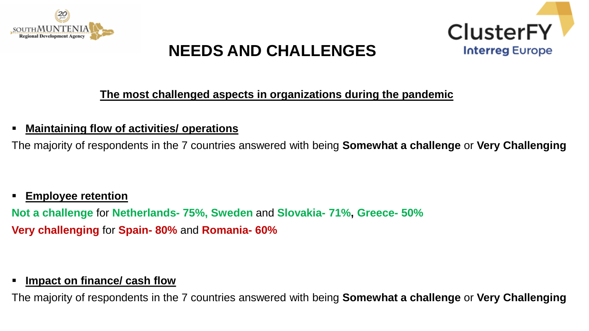



#### **The most challenged aspects in organizations during the pandemic**

#### **Maintaining flow of activities/ operations**

The majority of respondents in the 7 countries answered with being **Somewhat a challenge** or **Very Challenging**

#### **Employee retention**

**Not a challenge** for **Netherlands- 75%, Sweden** and **Slovakia- 71%, Greece- 50% Very challenging** for **Spain- 80%** and **Romania- 60%**

#### **Impact on finance/ cash flow**

The majority of respondents in the 7 countries answered with being **Somewhat a challenge** or **Very Challenging**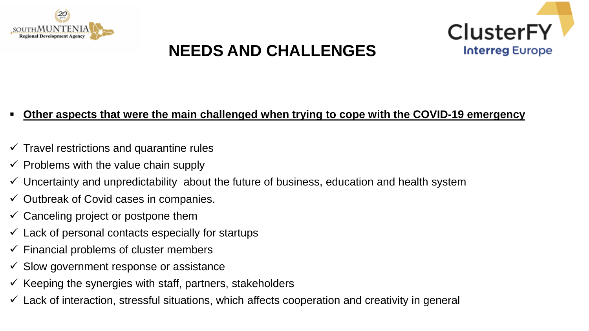



#### **Other aspects that were the main challenged when trying to cope with the COVID-19 emergency**

- $\checkmark$  Travel restrictions and quarantine rules
- $\checkmark$  Problems with the value chain supply
- $\checkmark$  Uncertainty and unpredictability about the future of business, education and health system
- $\checkmark$  Outbreak of Covid cases in companies.
- $\checkmark$  Canceling project or postpone them
- $\checkmark$  Lack of personal contacts especially for startups
- $\checkmark$  Financial problems of cluster members
- $\checkmark$  Slow government response or assistance
- $\checkmark$  Keeping the synergies with staff, partners, stakeholders
- $\checkmark$  Lack of interaction, stressful situations, which affects cooperation and creativity in general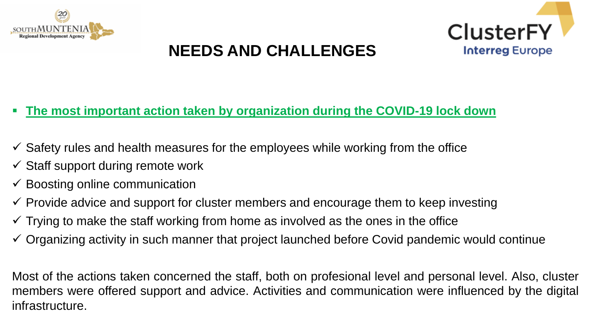



#### **The most important action taken by organization during the COVID-19 lock down**

- $\checkmark$  Safety rules and health measures for the employees while working from the office
- $\checkmark$  Staff support during remote work
- $\checkmark$  Boosting online communication
- $\checkmark$  Provide advice and support for cluster members and encourage them to keep investing
- $\checkmark$  Trying to make the staff working from home as involved as the ones in the office
- $\checkmark$  Organizing activity in such manner that project launched before Covid pandemic would continue

Most of the actions taken concerned the staff, both on profesional level and personal level. Also, cluster members were offered support and advice. Activities and communication were influenced by the digital infrastructure.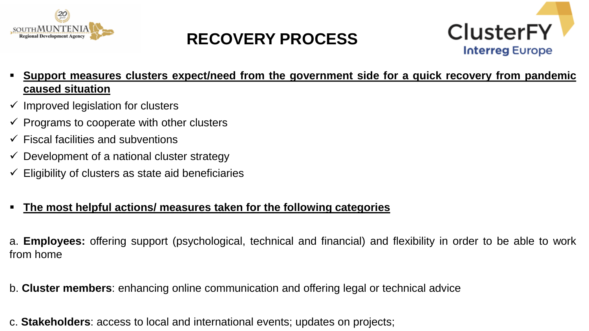

### **RECOVERY PROCESS**



- **Support measures clusters expect/need from the government side for a quick recovery from pandemic caused situation**
- $\checkmark$  Improved legislation for clusters
- $\checkmark$  Programs to cooperate with other clusters
- $\checkmark$  Fiscal facilities and subventions
- $\checkmark$  Development of a national cluster strategy
- $\checkmark$  Eligibility of clusters as state aid beneficiaries

#### **The most helpful actions/ measures taken for the following categories**

a. **Employees:** offering support (psychological, technical and financial) and flexibility in order to be able to work from home

b. **Cluster members**: enhancing online communication and offering legal or technical advice

c. **Stakeholders**: access to local and international events; updates on projects;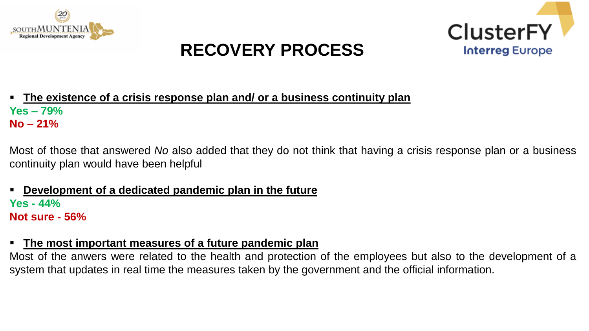

### **RECOVERY PROCESS**



 **The existence of a crisis response plan and/ or a business continuity plan Yes – 79% No** – **21%**

Most of those that answered *No* also added that they do not think that having a crisis response plan or a business continuity plan would have been helpful

 **Development of a dedicated pandemic plan in the future Yes - 44% Not sure - 56%**

#### **The most important measures of a future pandemic plan**

Most of the anwers were related to the health and protection of the employees but also to the development of a system that updates in real time the measures taken by the government and the official information.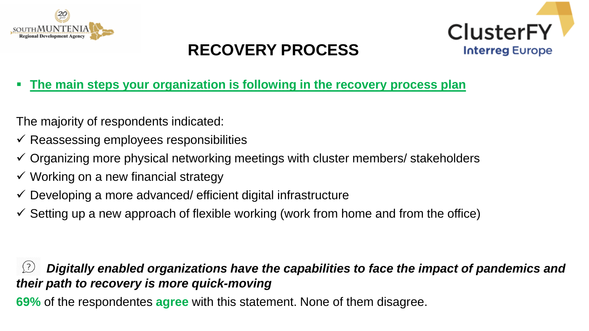

### **RECOVERY PROCESS**



**The main steps your organization is following in the recovery process plan**

The majority of respondents indicated:

- $\checkmark$  Reassessing employees responsibilities
- $\checkmark$  Organizing more physical networking meetings with cluster members/ stakeholders
- $\checkmark$  Working on a new financial strategy
- $\checkmark$  Developing a more advanced/ efficient digital infrastructure
- $\checkmark$  Setting up a new approach of flexible working (work from home and from the office)

#### *Digitally enabled organizations have the capabilities to face the impact of pandemics and their path to recovery is more quick-moving*

**69%** of the respondentes **agree** with this statement. None of them disagree.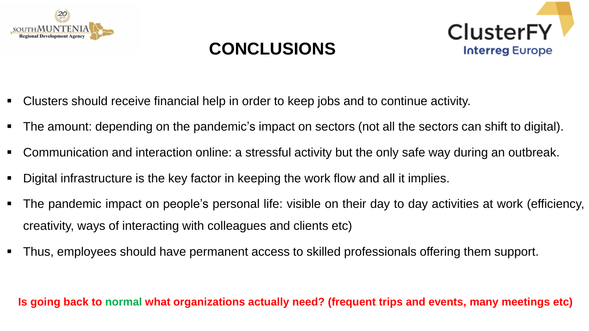





- Clusters should receive financial help in order to keep jobs and to continue activity.
- The amount: depending on the pandemic's impact on sectors (not all the sectors can shift to digital).
- Communication and interaction online: a stressful activity but the only safe way during an outbreak.
- Digital infrastructure is the key factor in keeping the work flow and all it implies.
- The pandemic impact on people's personal life: visible on their day to day activities at work (efficiency, creativity, ways of interacting with colleagues and clients etc)
- Thus, employees should have permanent access to skilled professionals offering them support.

**Is going back to normal what organizations actually need? (frequent trips and events, many meetings etc)**